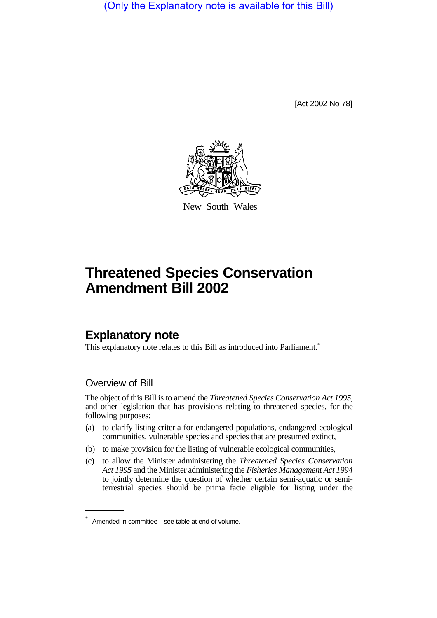(Only the Explanatory note is available for this Bill)

[Act 2002 No 78]



New South Wales

# **Threatened Species Conservation Amendment Bill 2002**

# **Explanatory note**

This explanatory note relates to this Bill as introduced into Parliament.<sup>\*</sup>

# Overview of Bill

The object of this Bill is to amend the *Threatened Species Conservation Act 1995*, and other legislation that has provisions relating to threatened species, for the following purposes:

- (a) to clarify listing criteria for endangered populations, endangered ecological communities, vulnerable species and species that are presumed extinct,
- (b) to make provision for the listing of vulnerable ecological communities,
- (c) to allow the Minister administering the *Threatened Species Conservation Act 1995* and the Minister administering the *Fisheries Management Act 1994* to jointly determine the question of whether certain semi-aquatic or semiterrestrial species should be prima facie eligible for listing under the

Amended in committee—see table at end of volume.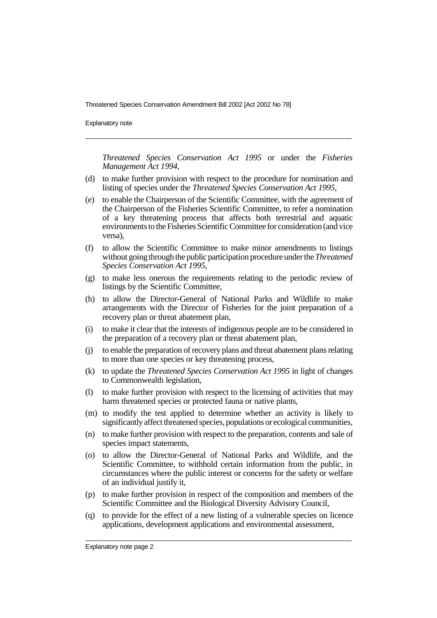Explanatory note

*Threatened Species Conservation Act 1995* or under the *Fisheries Management Act 1994*,

- (d) to make further provision with respect to the procedure for nomination and listing of species under the *Threatened Species Conservation Act 1995*,
- (e) to enable the Chairperson of the Scientific Committee, with the agreement of the Chairperson of the Fisheries Scientific Committee, to refer a nomination of a key threatening process that affects both terrestrial and aquatic environments to the Fisheries Scientific Committee for consideration (and vice versa),
- (f) to allow the Scientific Committee to make minor amendments to listings without going through the public participation procedure under the *Threatened Species Conservation Act 1995*,
- (g) to make less onerous the requirements relating to the periodic review of listings by the Scientific Committee,
- (h) to allow the Director-General of National Parks and Wildlife to make arrangements with the Director of Fisheries for the joint preparation of a recovery plan or threat abatement plan,
- (i) to make it clear that the interests of indigenous people are to be considered in the preparation of a recovery plan or threat abatement plan,
- (j) to enable the preparation of recovery plans and threat abatement plans relating to more than one species or key threatening process,
- (k) to update the *Threatened Species Conservation Act 1995* in light of changes to Commonwealth legislation,
- (l) to make further provision with respect to the licensing of activities that may harm threatened species or protected fauna or native plants,
- (m) to modify the test applied to determine whether an activity is likely to significantlyaffect threatened species, populations or ecological communities,
- (n) to make further provision with respect to the preparation, contents and sale of species impact statements,
- (o) to allow the Director-General of National Parks and Wildlife, and the Scientific Committee, to withhold certain information from the public, in circumstances where the public interest or concerns for the safety or welfare of an individual justify it,
- (p) to make further provision in respect of the composition and members of the Scientific Committee and the Biological Diversity Advisory Council,
- (q) to provide for the effect of a new listing of a vulnerable species on licence applications, development applications and environmental assessment,

Explanatory note page 2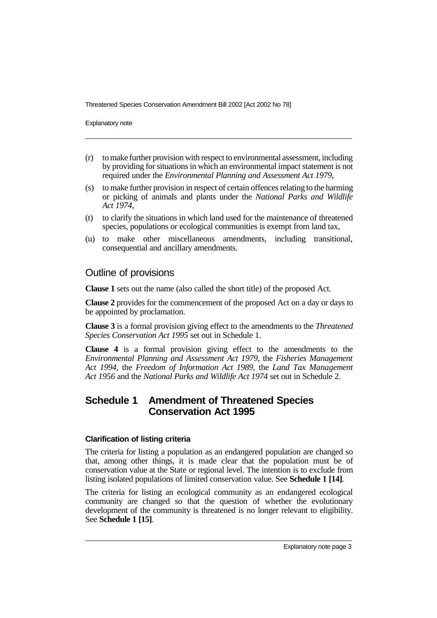Explanatory note

- (r) to make further provision with respect to environmental assessment, including by providing for situations in which an environmental impact statement is not required under the *Environmental Planning and Assessment Act 1979*,
- (s) to make further provision in respect of certain offences relating to the harming or picking of animals and plants under the *National Parks and Wildlife Act 1974*,
- (t) to clarify the situations in which land used for the maintenance of threatened species, populations or ecological communities is exempt from land tax,
- (u) to make other miscellaneous amendments, including transitional, consequential and ancillary amendments.

# Outline of provisions

**Clause 1** sets out the name (also called the short title) of the proposed Act.

**Clause 2** provides for the commencement of the proposed Act on a day or days to be appointed by proclamation.

**Clause 3** is a formal provision giving effect to the amendments to the *Threatened Species Conservation Act 1995* set out in Schedule 1.

**Clause 4** is a formal provision giving effect to the amendments to the *Environmental Planning and Assessment Act 1979*, the *Fisheries Management Act 1994*, the *Freedom of Information Act 1989*, the *Land Tax Management Act 1956* and the *National Parks and Wildlife Act 1974* set out in Schedule 2.

# **Schedule 1 Amendment of Threatened Species Conservation Act 1995**

# **Clarification of listing criteria**

The criteria for listing a population as an endangered population are changed so that, among other things, it is made clear that the population must be of conservation value at the State or regional level. The intention is to exclude from listing isolated populations of limited conservation value. See **Schedule 1 [14]**.

The criteria for listing an ecological community as an endangered ecological community are changed so that the question of whether the evolutionary development of the community is threatened is no longer relevant to eligibility. See **Schedule 1 [15]**.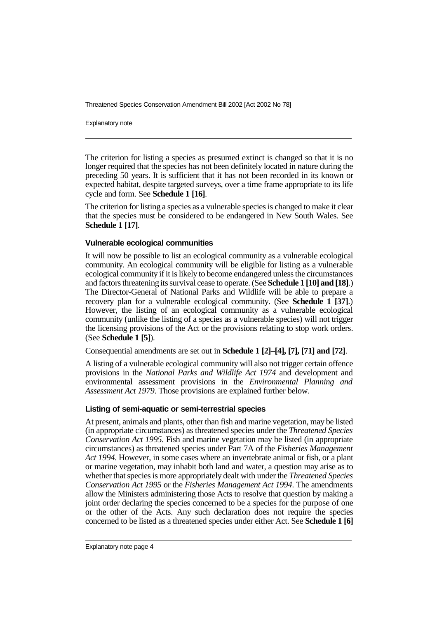Explanatory note

The criterion for listing a species as presumed extinct is changed so that it is no longer required that the species has not been definitely located in nature during the preceding 50 years. It is sufficient that it has not been recorded in its known or expected habitat, despite targeted surveys, over a time frame appropriate to its life cycle and form. See **Schedule 1 [16]**.

The criterion for listing a species as a vulnerable species is changed to make it clear that the species must be considered to be endangered in New South Wales. See **Schedule 1 [17]**.

## **Vulnerable ecological communities**

It will now be possible to list an ecological community as a vulnerable ecological community. An ecological community will be eligible for listing as a vulnerable ecological community if it is likely to become endangered unless the circumstances and factors threatening its survival cease to operate. (See **Schedule 1 [10] and [18]**.) The Director-General of National Parks and Wildlife will be able to prepare a recovery plan for a vulnerable ecological community. (See **Schedule 1 [37]**.) However, the listing of an ecological community as a vulnerable ecological community (unlike the listing of a species as a vulnerable species) will not trigger the licensing provisions of the Act or the provisions relating to stop work orders. (See **Schedule 1 [5]**).

Consequential amendments are set out in **Schedule 1 [2]–[4], [7], [71] and [72]**.

A listing of a vulnerable ecological community will also not trigger certain offence provisions in the *National Parks and Wildlife Act 1974* and development and environmental assessment provisions in the *Environmental Planning and Assessment Act 1979*. Those provisions are explained further below.

# **Listing of semi-aquatic or semi-terrestrial species**

At present, animals and plants, other than fish and marine vegetation, may be listed (in appropriate circumstances) as threatened species under the *Threatened Species Conservation Act 1995*. Fish and marine vegetation may be listed (in appropriate circumstances) as threatened species under Part 7A of the *Fisheries Management Act 1994*. However, in some cases where an invertebrate animal or fish, or a plant or marine vegetation, may inhabit both land and water, a question may arise as to whether that species is more appropriately dealt with under the *Threatened Species Conservation Act 1995* or the *Fisheries Management Act 1994*. The amendments allow the Ministers administering those Acts to resolve that question by making a joint order declaring the species concerned to be a species for the purpose of one or the other of the Acts. Any such declaration does not require the species concerned to be listed as a threatened species under either Act. See **Schedule 1 [6]**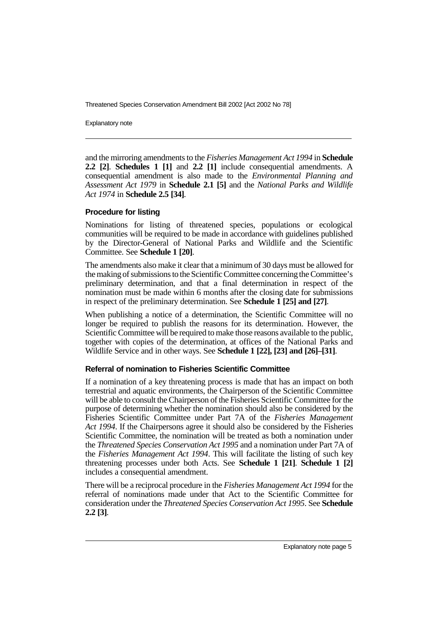Explanatory note

and the mirroring amendments to the *Fisheries Management Act 1994* in **Schedule 2.2 [2]**. **Schedules 1 [1]** and **2.2 [1]** include consequential amendments. A consequential amendment is also made to the *Environmental Planning and Assessment Act 1979* in **Schedule 2.1 [5]** and the *National Parks and Wildlife Act 1974* in **Schedule 2.5 [34]**.

## **Procedure for listing**

Nominations for listing of threatened species, populations or ecological communities will be required to be made in accordance with guidelines published by the Director-General of National Parks and Wildlife and the Scientific Committee. See **Schedule 1 [20]**.

The amendments also make it clear that a minimum of 30 days must be allowed for the making of submissions to the Scientific Committee concerning the Committee's preliminary determination, and that a final determination in respect of the nomination must be made within 6 months after the closing date for submissions in respect of the preliminary determination. See **Schedule 1 [25] and [27]**.

When publishing a notice of a determination, the Scientific Committee will no longer be required to publish the reasons for its determination. However, the Scientific Committee will be required to make those reasons available to the public, together with copies of the determination, at offices of the National Parks and Wildlife Service and in other ways. See **Schedule 1 [22], [23] and [26]–[31]**.

# **Referral of nomination to Fisheries Scientific Committee**

If a nomination of a key threatening process is made that has an impact on both terrestrial and aquatic environments, the Chairperson of the Scientific Committee will be able to consult the Chairperson of the Fisheries Scientific Committee for the purpose of determining whether the nomination should also be considered by the Fisheries Scientific Committee under Part 7A of the *Fisheries Management Act 1994*. If the Chairpersons agree it should also be considered by the Fisheries Scientific Committee, the nomination will be treated as both a nomination under the *Threatened Species Conservation Act 1995* and a nomination under Part 7A of the *Fisheries Management Act 1994*. This will facilitate the listing of such key threatening processes under both Acts. See **Schedule 1 [21]**. **Schedule 1 [2]** includes a consequential amendment.

There will be a reciprocal procedure in the *Fisheries Management Act 1994* for the referral of nominations made under that Act to the Scientific Committee for consideration under the *Threatened Species Conservation Act 1995*. See **Schedule 2.2 [3]**.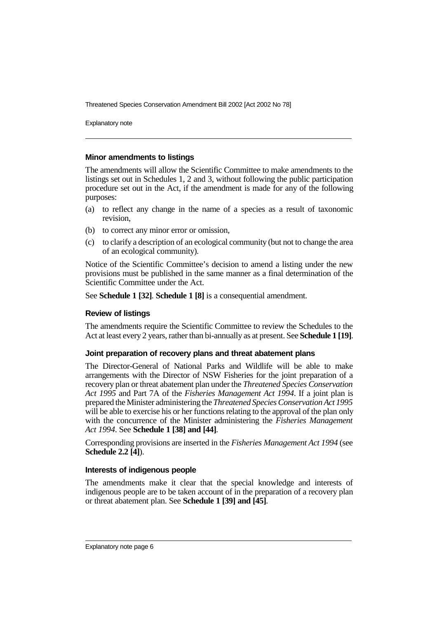Explanatory note

#### **Minor amendments to listings**

The amendments will allow the Scientific Committee to make amendments to the listings set out in Schedules 1, 2 and 3, without following the public participation procedure set out in the Act, if the amendment is made for any of the following purposes:

- (a) to reflect any change in the name of a species as a result of taxonomic revision,
- (b) to correct any minor error or omission,
- (c) to clarify a description of an ecological community (but not to change the area of an ecological community).

Notice of the Scientific Committee's decision to amend a listing under the new provisions must be published in the same manner as a final determination of the Scientific Committee under the Act.

See **Schedule 1 [32]**. **Schedule 1 [8]** is a consequential amendment.

#### **Review of listings**

The amendments require the Scientific Committee to review the Schedules to the Act at least every 2 years, rather than bi-annually as at present. See **Schedule 1 [19]**.

#### **Joint preparation of recovery plans and threat abatement plans**

The Director-General of National Parks and Wildlife will be able to make arrangements with the Director of NSW Fisheries for the joint preparation of a recovery plan or threat abatement plan under the *Threatened Species Conservation Act 1995* and Part 7A of the *Fisheries Management Act 1994*. If a joint plan is prepared the Minister administering the *Threatened Species Conservation Act 1995* will be able to exercise his or her functions relating to the approval of the plan only with the concurrence of the Minister administering the *Fisheries Management Act 1994*. See **Schedule 1 [38] and [44]**.

Corresponding provisions are inserted in the *Fisheries Management Act 1994* (see **Schedule 2.2 [4]**).

#### **Interests of indigenous people**

The amendments make it clear that the special knowledge and interests of indigenous people are to be taken account of in the preparation of a recovery plan or threat abatement plan. See **Schedule 1 [39] and [45]**.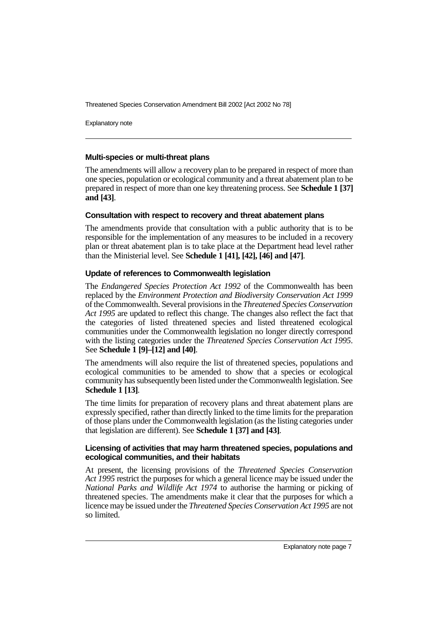Explanatory note

## **Multi-species or multi-threat plans**

The amendments will allow a recovery plan to be prepared in respect of more than one species, population or ecological community and a threat abatement plan to be prepared in respect of more than one key threatening process. See **Schedule 1 [37] and [43]**.

## **Consultation with respect to recovery and threat abatement plans**

The amendments provide that consultation with a public authority that is to be responsible for the implementation of any measures to be included in a recovery plan or threat abatement plan is to take place at the Department head level rather than the Ministerial level. See **Schedule 1 [41], [42], [46] and [47]**.

# **Update of references to Commonwealth legislation**

The *Endangered Species Protection Act 1992* of the Commonwealth has been replaced by the *Environment Protection and Biodiversity Conservation Act 1999* of the Commonwealth. Several provisions in the *Threatened Species Conservation Act 1995* are updated to reflect this change. The changes also reflect the fact that the categories of listed threatened species and listed threatened ecological communities under the Commonwealth legislation no longer directly correspond with the listing categories under the *Threatened Species Conservation Act 1995*. See **Schedule 1 [9]–[12] and [40]**.

The amendments will also require the list of threatened species, populations and ecological communities to be amended to show that a species or ecological community has subsequently been listed under the Commonwealth legislation. See **Schedule 1 [13]**.

The time limits for preparation of recovery plans and threat abatement plans are expressly specified, rather than directly linked to the time limits for the preparation of those plans under the Commonwealth legislation (as the listing categories under that legislation are different). See **Schedule 1 [37] and [43]**.

#### **Licensing of activities that may harm threatened species, populations and ecological communities, and their habitats**

At present, the licensing provisions of the *Threatened Species Conservation Act 1995* restrict the purposes for which a general licence may be issued under the *National Parks and Wildlife Act 1974* to authorise the harming or picking of threatened species. The amendments make it clear that the purposes for which a licence may be issued under the *Threatened Species Conservation Act 1995* are not so limited.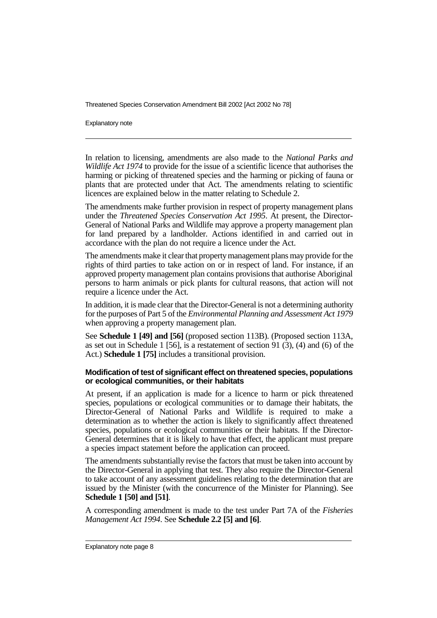Explanatory note

In relation to licensing, amendments are also made to the *National Parks and Wildlife Act 1974* to provide for the issue of a scientific licence that authorises the harming or picking of threatened species and the harming or picking of fauna or plants that are protected under that Act. The amendments relating to scientific licences are explained below in the matter relating to Schedule 2.

The amendments make further provision in respect of property management plans under the *Threatened Species Conservation Act 1995*. At present, the Director-General of National Parks and Wildlife may approve a property management plan for land prepared by a landholder. Actions identified in and carried out in accordance with the plan do not require a licence under the Act.

The amendments make it clear that property management plans may provide for the rights of third parties to take action on or in respect of land. For instance, if an approved property management plan contains provisions that authorise Aboriginal persons to harm animals or pick plants for cultural reasons, that action will not require a licence under the Act.

In addition, it is made clear that the Director-General is not a determining authority for the purposes of Part 5 of the *Environmental Planning and Assessment Act 1979* when approving a property management plan.

See **Schedule 1 [49] and [56]** (proposed section 113B). (Proposed section 113A, as set out in Schedule 1 [56], is a restatement of section 91  $(3)$ ,  $(4)$  and  $(6)$  of the Act.) **Schedule 1 [75]** includes a transitional provision.

#### **Modification of test of significant effect on threatened species, populations or ecological communities, or their habitats**

At present, if an application is made for a licence to harm or pick threatened species, populations or ecological communities or to damage their habitats, the Director-General of National Parks and Wildlife is required to make a determination as to whether the action is likely to significantly affect threatened species, populations or ecological communities or their habitats. If the Director-General determines that it is likely to have that effect, the applicant must prepare a species impact statement before the application can proceed.

The amendments substantially revise the factors that must be taken into account by the Director-General in applying that test. They also require the Director-General to take account of any assessment guidelines relating to the determination that are issued by the Minister (with the concurrence of the Minister for Planning). See **Schedule 1 [50] and [51]**.

A corresponding amendment is made to the test under Part 7A of the *Fisheries Management Act 1994*. See **Schedule 2.2 [5] and [6]**.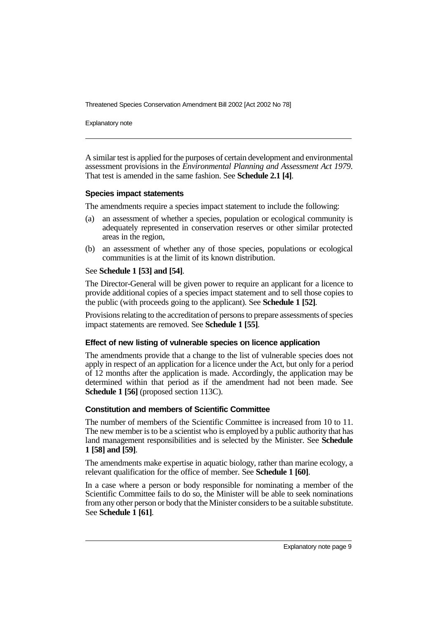Explanatory note

A similar test is applied for the purposes of certain development and environmental assessment provisions in the *Environmental Planning and Assessment Act 1979*. That test is amended in the same fashion. See **Schedule 2.1 [4]**.

## **Species impact statements**

The amendments require a species impact statement to include the following:

- (a) an assessment of whether a species, population or ecological community is adequately represented in conservation reserves or other similar protected areas in the region,
- (b) an assessment of whether any of those species, populations or ecological communities is at the limit of its known distribution.

# See **Schedule 1 [53] and [54]**.

The Director-General will be given power to require an applicant for a licence to provide additional copies of a species impact statement and to sell those copies to the public (with proceeds going to the applicant). See **Schedule 1 [52]**.

Provisions relating to the accreditation of persons to prepare assessments of species impact statements are removed. See **Schedule 1 [55]**.

# **Effect of new listing of vulnerable species on licence application**

The amendments provide that a change to the list of vulnerable species does not apply in respect of an application for a licence under the Act, but only for a period of 12 months after the application is made. Accordingly, the application may be determined within that period as if the amendment had not been made. See **Schedule 1 [56]** (proposed section 113C).

# **Constitution and members of Scientific Committee**

The number of members of the Scientific Committee is increased from 10 to 11. The new member is to be a scientist who is employed by a public authority that has land management responsibilities and is selected by the Minister. See **Schedule 1 [58] and [59]**.

The amendments make expertise in aquatic biology, rather than marine ecology, a relevant qualification for the office of member. See **Schedule 1 [60]**.

In a case where a person or body responsible for nominating a member of the Scientific Committee fails to do so, the Minister will be able to seek nominations from any other person or body that the Minister considers to be a suitable substitute. See **Schedule 1 [61]**.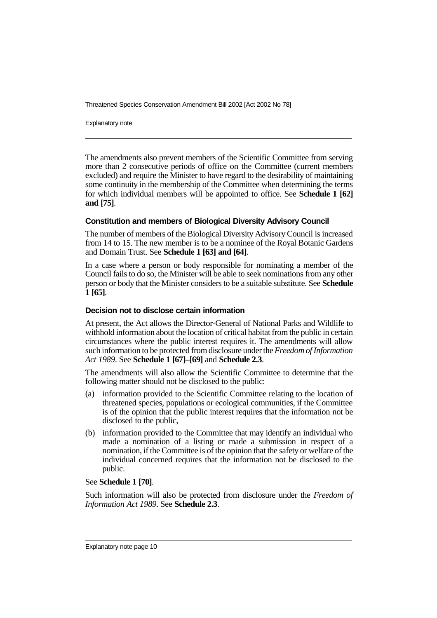Explanatory note

The amendments also prevent members of the Scientific Committee from serving more than 2 consecutive periods of office on the Committee (current members excluded) and require the Minister to have regard to the desirability of maintaining some continuity in the membership of the Committee when determining the terms for which individual members will be appointed to office. See **Schedule 1 [62] and [75]**.

## **Constitution and members of Biological Diversity Advisory Council**

The number of members of the Biological Diversity Advisory Council is increased from 14 to 15. The new member is to be a nominee of the Royal Botanic Gardens and Domain Trust. See **Schedule 1 [63] and [64]**.

In a case where a person or body responsible for nominating a member of the Council fails to do so, the Minister will be able to seek nominations from any other person or body that the Minister considers to be a suitable substitute. See **Schedule 1 [65]**.

#### **Decision not to disclose certain information**

At present, the Act allows the Director-General of National Parks and Wildlife to withhold information about the location of critical habitat from the public in certain circumstances where the public interest requires it. The amendments will allow such information to be protected from disclosure under the*Freedom of Information Act 1989*. See **Schedule 1 [67]–[69]** and **Schedule 2.3**.

The amendments will also allow the Scientific Committee to determine that the following matter should not be disclosed to the public:

- (a) information provided to the Scientific Committee relating to the location of threatened species, populations or ecological communities, if the Committee is of the opinion that the public interest requires that the information not be disclosed to the public,
- (b) information provided to the Committee that may identify an individual who made a nomination of a listing or made a submission in respect of a nomination, if the Committee is of the opinion that the safety or welfare of the individual concerned requires that the information not be disclosed to the public.

#### See **Schedule 1 [70]**.

Such information will also be protected from disclosure under the *Freedom of Information Act 1989*. See **Schedule 2.3**.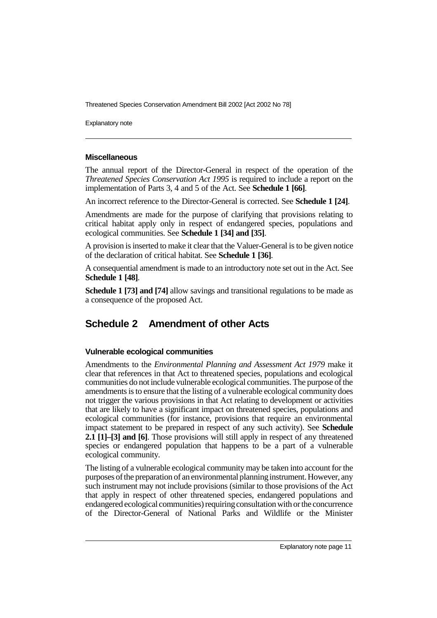Explanatory note

# **Miscellaneous**

The annual report of the Director-General in respect of the operation of the *Threatened Species Conservation Act 1995* is required to include a report on the implementation of Parts 3, 4 and 5 of the Act. See **Schedule 1 [66]**.

An incorrect reference to the Director-General is corrected. See **Schedule 1 [24]**.

Amendments are made for the purpose of clarifying that provisions relating to critical habitat apply only in respect of endangered species, populations and ecological communities. See **Schedule 1 [34] and [35]**.

A provision is inserted to make it clear that the Valuer-General is to be given notice of the declaration of critical habitat. See **Schedule 1 [36]**.

A consequential amendment is made to an introductory note set out in the Act. See **Schedule 1 [48]**.

**Schedule 1 [73] and [74]** allow savings and transitional regulations to be made as a consequence of the proposed Act.

# **Schedule 2 Amendment of other Acts**

# **Vulnerable ecological communities**

Amendments to the *Environmental Planning and Assessment Act 1979* make it clear that references in that Act to threatened species, populations and ecological communities do not include vulnerable ecological communities. The purpose of the amendments is to ensure that the listing of a vulnerable ecological community does not trigger the various provisions in that Act relating to development or activities that are likely to have a significant impact on threatened species, populations and ecological communities (for instance, provisions that require an environmental impact statement to be prepared in respect of any such activity). See **Schedule 2.1 [1]–[3] and [6]**. Those provisions will still apply in respect of any threatened species or endangered population that happens to be a part of a vulnerable ecological community.

The listing of a vulnerable ecological community may be taken into account for the purposes of the preparation of an environmental planninginstrument. However, any such instrument may not include provisions (similar to those provisions of the Act that apply in respect of other threatened species, endangered populations and endangered ecological communities) requiring consultation with or the concurrence of the Director-General of National Parks and Wildlife or the Minister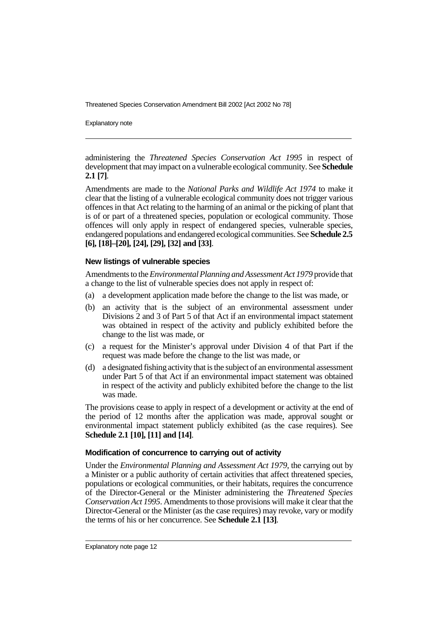Explanatory note

administering the *Threatened Species Conservation Act 1995* in respect of development that may impact on a vulnerable ecological community. See **Schedule 2.1 [7]**.

Amendments are made to the *National Parks and Wildlife Act 1974* to make it clear that the listing of a vulnerable ecological community does not trigger various offences in that Act relating to the harming of an animal or the picking of plant that is of or part of a threatened species, population or ecological community. Those offences will only apply in respect of endangered species, vulnerable species, endangered populations and endangered ecological communities. See **Schedule 2.5 [6], [18]–[20], [24], [29], [32] and [33]**.

## **New listings of vulnerable species**

Amendments to the*Environmental Planning and Assessment Act 1979* provide that a change to the list of vulnerable species does not apply in respect of:

- (a) a development application made before the change to the list was made, or
- (b) an activity that is the subject of an environmental assessment under Divisions 2 and 3 of Part 5 of that Act if an environmental impact statement was obtained in respect of the activity and publicly exhibited before the change to the list was made, or
- (c) a request for the Minister's approval under Division 4 of that Part if the request was made before the change to the list was made, or
- (d) a designated fishing activity that is the subject of an environmental assessment under Part 5 of that Act if an environmental impact statement was obtained in respect of the activity and publicly exhibited before the change to the list was made.

The provisions cease to apply in respect of a development or activity at the end of the period of 12 months after the application was made, approval sought or environmental impact statement publicly exhibited (as the case requires). See **Schedule 2.1 [10], [11] and [14]**.

# **Modification of concurrence to carrying out of activity**

Under the *Environmental Planning and Assessment Act 1979*, the carrying out by a Minister or a public authority of certain activities that affect threatened species, populations or ecological communities, or their habitats, requires the concurrence of the Director-General or the Minister administering the *Threatened Species Conservation Act 1995*. Amendments to those provisions will make it clear that the Director-General or the Minister (as the case requires) may revoke, vary or modify the terms of his or her concurrence. See **Schedule 2.1 [13]**.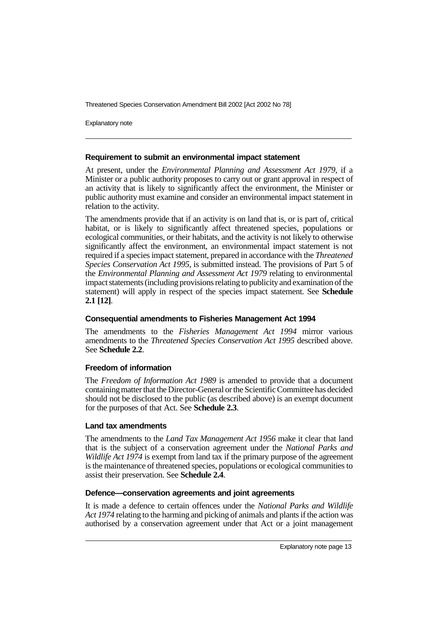Explanatory note

## **Requirement to submit an environmental impact statement**

At present, under the *Environmental Planning and Assessment Act 1979*, if a Minister or a public authority proposes to carry out or grant approval in respect of an activity that is likely to significantly affect the environment, the Minister or public authority must examine and consider an environmental impact statement in relation to the activity.

The amendments provide that if an activity is on land that is, or is part of, critical habitat, or is likely to significantly affect threatened species, populations or ecological communities, or their habitats, and the activity is not likely to otherwise significantly affect the environment, an environmental impact statement is not required if a species impact statement, prepared in accordance with the *Threatened Species Conservation Act 1995*, is submitted instead. The provisions of Part 5 of the *Environmental Planning and Assessment Act 1979* relating to environmental impact statements (including provisions relating to publicityand examination of the statement) will apply in respect of the species impact statement. See **Schedule 2.1 [12]**.

# **Consequential amendments to Fisheries Management Act 1994**

The amendments to the *Fisheries Management Act 1994* mirror various amendments to the *Threatened Species Conservation Act 1995* described above. See **Schedule 2.2**.

# **Freedom of information**

The *Freedom of Information Act 1989* is amended to provide that a document containing matter that the Director-General or the Scientific Committee has decided should not be disclosed to the public (as described above) is an exempt document for the purposes of that Act. See **Schedule 2.3**.

#### **Land tax amendments**

The amendments to the *Land Tax Management Act 1956* make it clear that land that is the subject of a conservation agreement under the *National Parks and Wildlife Act 1974* is exempt from land tax if the primary purpose of the agreement is the maintenance of threatened species, populations or ecological communities to assist their preservation. See **Schedule 2.4**.

#### **Defence—conservation agreements and joint agreements**

It is made a defence to certain offences under the *National Parks and Wildlife Act 1974* relating to the harming and picking of animals and plants if the action was authorised by a conservation agreement under that Act or a joint management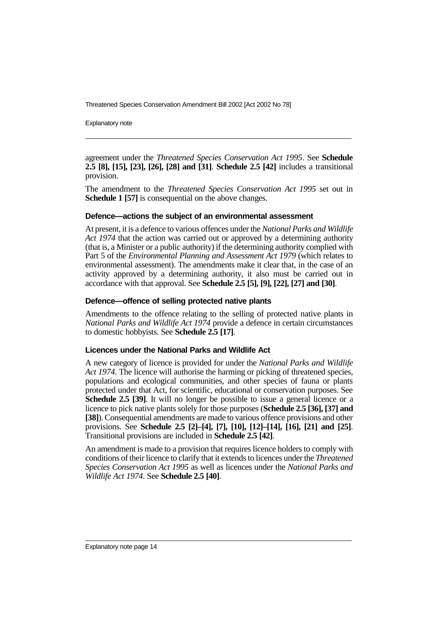Explanatory note

agreement under the *Threatened Species Conservation Act 1995*. See **Schedule 2.5 [8], [15], [23], [26], [28] and [31]**. **Schedule 2.5 [42]** includes a transitional provision.

The amendment to the *Threatened Species Conservation Act 1995* set out in **Schedule 1 [57]** is consequential on the above changes.

#### **Defence—actions the subject of an environmental assessment**

At present, it is a defence to various offences under the *National Parks and Wildlife Act 1974* that the action was carried out or approved by a determining authority (that is, a Minister or a public authority) if the determining authority complied with Part 5 of the *Environmental Planning and Assessment Act 1979* (which relates to environmental assessment). The amendments make it clear that, in the case of an activity approved by a determining authority, it also must be carried out in accordance with that approval. See **Schedule 2.5 [5], [9], [22], [27] and [30]**.

#### **Defence—offence of selling protected native plants**

Amendments to the offence relating to the selling of protected native plants in *National Parks and Wildlife Act 1974* provide a defence in certain circumstances to domestic hobbyists. See **Schedule 2.5 [17]**.

#### **Licences under the National Parks and Wildlife Act**

A new category of licence is provided for under the *National Parks and Wildlife Act 1974*. The licence will authorise the harming or picking of threatened species, populations and ecological communities, and other species of fauna or plants protected under that Act, for scientific, educational or conservation purposes. See **Schedule 2.5 [39]**. It will no longer be possible to issue a general licence or a licence to pick native plants solely for those purposes (**Schedule 2.5 [36], [37] and [38]**). Consequential amendments are made to various offence provisions and other provisions. See **Schedule 2.5 [2]–[4], [7], [10], [12]–[14], [16], [21] and [25]**. Transitional provisions are included in **Schedule 2.5 [42]**.

An amendment is made to a provision that requires licence holders to comply with conditions of their licence to clarify that it extends to licences under the *Threatened Species Conservation Act 1995* as well as licences under the *National Parks and Wildlife Act 1974*. See **Schedule 2.5 [40]**.